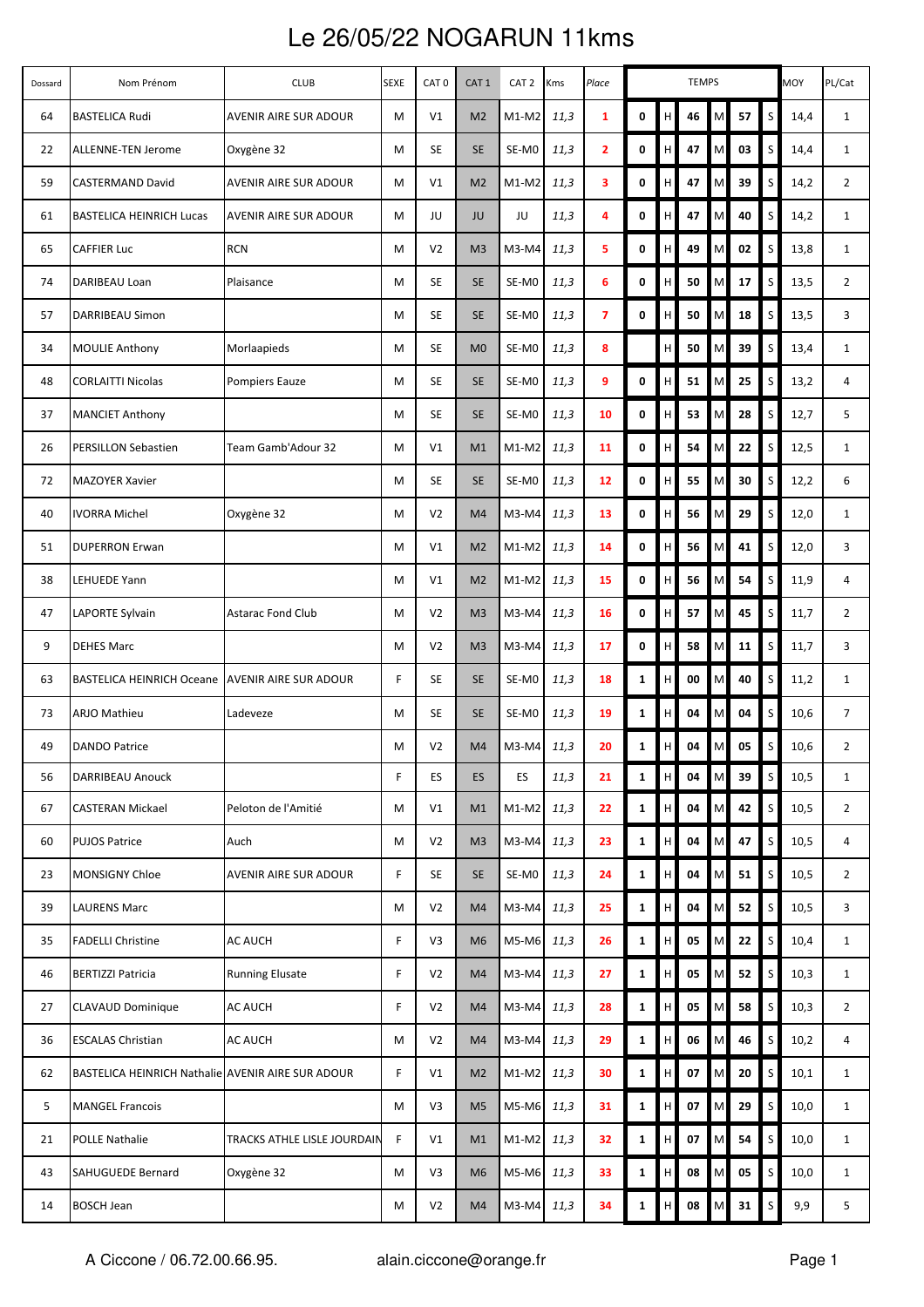## Le 26/05/22 NOGARUN 11kms

| Dossard | Nom Prénom                                        | <b>CLUB</b>                  | <b>SEXE</b> | CAT <sub>0</sub> | CAT <sub>1</sub> | CAT <sub>2</sub> | Kms  | Place                   | <b>TEMPS</b> |             |    |           |      | <b>MOY</b>   | PL/Cat |                |
|---------|---------------------------------------------------|------------------------------|-------------|------------------|------------------|------------------|------|-------------------------|--------------|-------------|----|-----------|------|--------------|--------|----------------|
| 64      | <b>BASTELICA Rudi</b>                             | <b>AVENIR AIRE SUR ADOUR</b> | M           | V1               | M <sub>2</sub>   | $M1-M2$          | 11,3 | $\mathbf{1}$            | 0            | H           | 46 | M         | 57   | S            | 14,4   | $\mathbf{1}$   |
| 22      | ALLENNE-TEN Jerome                                | Oxygène 32                   | М           | <b>SE</b>        | <b>SE</b>        | SE-MO            | 11,3 | $\overline{\mathbf{2}}$ | 0            | H           | 47 | M         | 03   | S            | 14,4   | $\mathbf{1}$   |
| 59      | <b>CASTERMAND David</b>                           | AVENIR AIRE SUR ADOUR        | м           | V1               | M <sub>2</sub>   | $M1-M2$          | 11,3 | 3                       | 0            | H           | 47 | M         | 39   | S            | 14,2   | $\overline{2}$ |
| 61      | <b>BASTELICA HEINRICH Lucas</b>                   | <b>AVENIR AIRE SUR ADOUR</b> | M           | JU               | JU               | JU               | 11,3 | 4                       | 0            | H           | 47 | M         | 40   | S            | 14,2   | $\mathbf{1}$   |
| 65      | <b>CAFFIER Luc</b>                                | <b>RCN</b>                   | м           | V <sub>2</sub>   | M <sub>3</sub>   | M3-M4            | 11,3 | 5                       | 0            | H           | 49 | M         | 02   | S            | 13,8   | $\mathbf{1}$   |
| 74      | DARIBEAU Loan                                     | Plaisance                    | М           | <b>SE</b>        | <b>SE</b>        | SE-MO            | 11,3 | 6                       | 0            | H           | 50 | M         | 17   | $\mathsf{S}$ | 13,5   | $\overline{2}$ |
| 57      | DARRIBEAU Simon                                   |                              | M           | <b>SE</b>        | <b>SE</b>        | SE-MO            | 11,3 | $\overline{7}$          | 0            | H           | 50 | M         | 18   | S            | 13,5   | 3              |
| 34      | <b>MOULIE Anthony</b>                             | Morlaapieds                  | М           | <b>SE</b>        | M <sub>0</sub>   | SE-MO            | 11,3 | 8                       |              | H           | 50 | M         | 39   | S.           | 13,4   | $\mathbf{1}$   |
| 48      | <b>CORLAITTI Nicolas</b>                          | Pompiers Eauze               | м           | <b>SE</b>        | <b>SE</b>        | SE-MO            | 11,3 | 9                       | 0            | H           | 51 | M         | 25   | S            | 13,2   | 4              |
| 37      | <b>MANCIET Anthony</b>                            |                              | М           | <b>SE</b>        | <b>SE</b>        | SE-MO            | 11,3 | 10                      | 0            | H           | 53 | M         | 28   | S            | 12,7   | 5              |
| 26      | <b>PERSILLON Sebastien</b>                        | Team Gamb'Adour 32           | М           | V1               | M1               | $M1-M2$          | 11,3 | 11                      | 0            | H           | 54 | M         | 22   | <sub>S</sub> | 12,5   | $\mathbf{1}$   |
| 72      | <b>MAZOYER Xavier</b>                             |                              | M           | <b>SE</b>        | <b>SE</b>        | SE-MO            | 11,3 | 12                      | 0            | H           | 55 | M         | 30   | S            | 12,2   | 6              |
| 40      | <b>IVORRA Michel</b>                              | Oxygène 32                   | м           | V <sub>2</sub>   | M4               | M3-M4            | 11,3 | 13                      | 0            | H           | 56 | M         | 29   | <sub>S</sub> | 12,0   | $\mathbf{1}$   |
| 51      | <b>DUPERRON Erwan</b>                             |                              | M           | V1               | M <sub>2</sub>   | $M1-M2$          | 11,3 | 14                      | 0            | H           | 56 | M         | 41   | S            | 12,0   | 3              |
| 38      | LEHUEDE Yann                                      |                              | м           | V1               | M <sub>2</sub>   | $M1-M2$          | 11,3 | 15                      | 0            | H           | 56 | M         | 54   | <sub>S</sub> | 11,9   | 4              |
| 47      | <b>LAPORTE Sylvain</b>                            | <b>Astarac Fond Club</b>     | м           | V <sub>2</sub>   | M <sub>3</sub>   | M3-M4            | 11,3 | 16                      | 0            | H           | 57 | M         | 45   | S            | 11,7   | $\overline{2}$ |
| 9       | <b>DEHES Marc</b>                                 |                              | M           | V <sub>2</sub>   | M <sub>3</sub>   | $M3-M4$          | 11,3 | 17                      | 0            | $\mathsf H$ | 58 | M         | 11   | S            | 11,7   | 3              |
| 63      | BASTELICA HEINRICH Oceane AVENIR AIRE SUR ADOUR   |                              | F           | SE               | <b>SE</b>        | SE-MO            | 11,3 | 18                      | $\mathbf{1}$ | H           | 00 | M         | 40   | S            | 11,2   | $\mathbf{1}$   |
| 73      | <b>ARJO Mathieu</b>                               | Ladeveze                     | м           | <b>SE</b>        | <b>SE</b>        | SE-MO            | 11,3 | 19                      | $\mathbf{1}$ | H           | 04 | M         | 04   | S            | 10,6   | $\overline{7}$ |
| 49      | <b>DANDO Patrice</b>                              |                              | м           | V <sub>2</sub>   | M4               | $M3-M4$          | 11,3 | 20                      | $\mathbf{1}$ | H           | 04 | M         | 05   | S            | 10,6   | $\overline{2}$ |
| 56      | DARRIBEAU Anouck                                  |                              | F           | ES               | ES               | <b>ES</b>        | 11,3 | 21                      | $\mathbf{1}$ | H           | 04 | M         | 39   | $\mathsf{S}$ | 10,5   | $\mathbf{1}$   |
| 67      | <b>CASTERAN Mickael</b>                           | Peloton de l'Amitié          | м           | V1               | M1               | $M1-M2$          | 11,3 | 22                      | 1            | H           | 04 | M         | 42   | $\mathsf{S}$ | 10,5   | $\overline{2}$ |
| 60      | <b>PUJOS Patrice</b>                              | Auch                         | M           | V <sub>2</sub>   | M <sub>3</sub>   | M3-M4            | 11,3 | 23                      | $\mathbf{1}$ | H           | 04 | M         | 47   | $\mathsf{S}$ | 10,5   | 4              |
| 23      | <b>MONSIGNY Chloe</b>                             | AVENIR AIRE SUR ADOUR        | F           | <b>SE</b>        | <b>SE</b>        | SE-MO            | 11,3 | 24                      | $\mathbf{1}$ | H           | 04 | ${\sf M}$ | 51   | S            | 10,5   | $\overline{2}$ |
| 39      | <b>LAURENS Marc</b>                               |                              | М           | V <sub>2</sub>   | M4               | M3-M4            | 11,3 | 25                      | $\mathbf{1}$ | H           | 04 | M         | 52   | $\mathsf S$  | 10,5   | 3              |
| 35      | <b>FADELLI Christine</b>                          | <b>AC AUCH</b>               | F           | V3               | M <sub>6</sub>   | M5-M6            | 11,3 | 26                      | $\mathbf{1}$ | H           | 05 | M         | 22   | $\mathsf{S}$ | 10,4   | $\mathbf{1}$   |
| 46      | <b>BERTIZZI Patricia</b>                          | <b>Running Elusate</b>       | F           | V <sub>2</sub>   | M4               | M3-M4            | 11,3 | 27                      | $\mathbf{1}$ | H           | 05 | M         | 52   | S            | 10,3   | $\mathbf{1}$   |
| 27      | <b>CLAVAUD Dominique</b>                          | <b>AC AUCH</b>               | F           | V <sub>2</sub>   | M4               | M3-M4            | 11,3 | 28                      | $\mathbf{1}$ | H           | 05 | M         | 58   | $\mathsf{S}$ | 10,3   | $\overline{2}$ |
| 36      | <b>ESCALAS Christian</b>                          | <b>AC AUCH</b>               | M           | V <sub>2</sub>   | M4               | $M3-M4$          | 11,3 | 29                      | $\mathbf{1}$ | H           | 06 | M         | 46   | S            | 10,2   | 4              |
| 62      | BASTELICA HEINRICH Nathalie AVENIR AIRE SUR ADOUR |                              | F           | V1               | M <sub>2</sub>   | $M1-M2$          | 11,3 | 30                      | $\mathbf{1}$ | H           | 07 | M         | 20   | $\mathsf{S}$ | 10,1   | $\mathbf{1}$   |
| 5       | <b>MANGEL Francois</b>                            |                              | М           | V3               | M <sub>5</sub>   | $M5-M6$          | 11,3 | 31                      | 1            | H           | 07 | M         | 29   | S            | 10,0   | $\mathbf{1}$   |
| 21      | <b>POLLE Nathalie</b>                             | TRACKS ATHLE LISLE JOURDAIN  | F           | V1               | M1               | $M1-M2$          | 11,3 | 32                      | $\mathbf{1}$ | H           | 07 | M         | 54   | $\mathsf{S}$ | 10,0   | $\mathbf{1}$   |
| 43      | SAHUGUEDE Bernard                                 | Oxygène 32                   | м           | V3               | M <sub>6</sub>   | $M5-M6$          | 11,3 | 33                      | $\mathbf{1}$ | H           | 08 | ${\sf M}$ | 05   | S            | 10,0   | $\mathbf{1}$   |
| 14      | <b>BOSCH Jean</b>                                 |                              | М           | V <sub>2</sub>   | M4               | M3-M4            | 11,3 | 34                      | $\mathbf{1}$ | H           | 08 |           | M 31 | $\mathsf S$  | 9,9    | 5              |